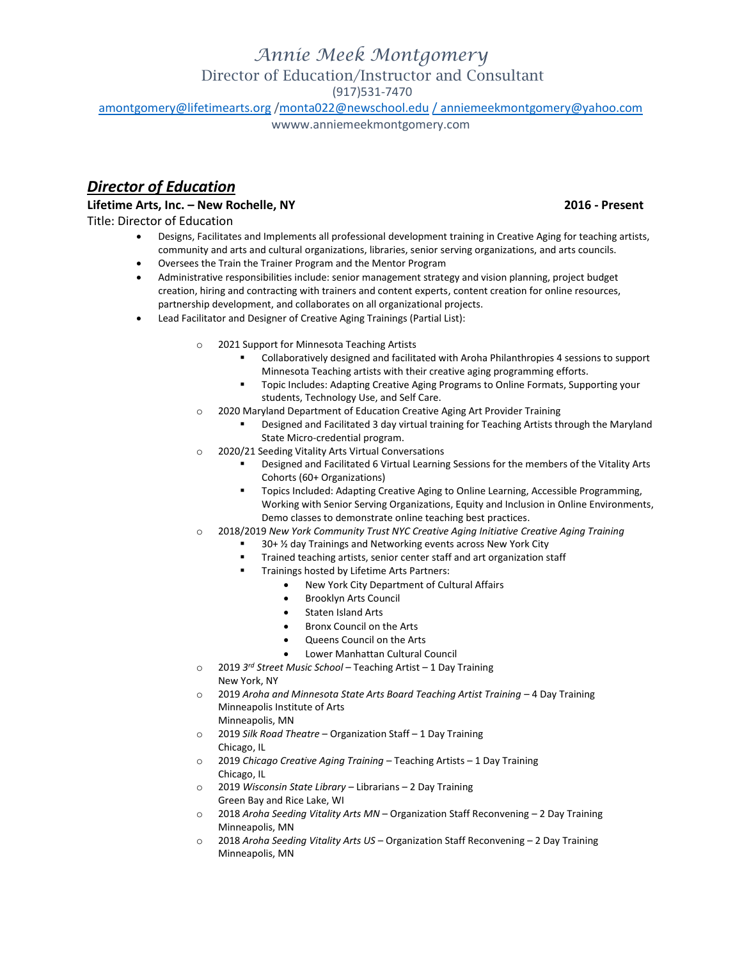(917)531-7470

[amontgomery@lifetimearts.org](mailto:amontgomery@lifetimearts.org) [/monta022@newschool.edu](mailto:monta022@newschool.edu) [/ anniemeekmontgomery@yahoo.com](mailto:/%20anniemeekmontgomery@yahoo.com)

wwww.anniemeekmontgomery.com

## *Director of Education*

## **Lifetime Arts, Inc. – New Rochelle, NY 2016 - Present**

Title: Director of Education

- Designs, Facilitates and Implements all professional development training in Creative Aging for teaching artists, community and arts and cultural organizations, libraries, senior serving organizations, and arts councils.
- Oversees the Train the Trainer Program and the Mentor Program
- Administrative responsibilities include: senior management strategy and vision planning, project budget creation, hiring and contracting with trainers and content experts, content creation for online resources, partnership development, and collaborates on all organizational projects.
- Lead Facilitator and Designer of Creative Aging Trainings (Partial List):
	- o 2021 Support for Minnesota Teaching Artists
		- Collaboratively designed and facilitated with Aroha Philanthropies 4 sessions to support Minnesota Teaching artists with their creative aging programming efforts.
		- Topic Includes: Adapting Creative Aging Programs to Online Formats, Supporting your students, Technology Use, and Self Care.
	- 2020 Maryland Department of Education Creative Aging Art Provider Training
		- Designed and Facilitated 3 day virtual training for Teaching Artists through the Maryland State Micro-credential program.
	- o 2020/21 Seeding Vitality Arts Virtual Conversations
		- Designed and Facilitated 6 Virtual Learning Sessions for the members of the Vitality Arts Cohorts (60+ Organizations)
		- **TOPICS Included: Adapting Creative Aging to Online Learning, Accessible Programming,** Working with Senior Serving Organizations, Equity and Inclusion in Online Environments, Demo classes to demonstrate online teaching best practices.
	- o 2018/2019 *New York Community Trust NYC Creative Aging Initiative Creative Aging Training*
		- 30+ ½ day Trainings and Networking events across New York City
		- Trained teaching artists, senior center staff and art organization staff
		- **Trainings hosted by Lifetime Arts Partners:** 
			- New York City Department of Cultural Affairs
			- Brooklyn Arts Council
			- Staten Island Arts
			- Bronx Council on the Arts
			- Queens Council on the Arts
			- Lower Manhattan Cultural Council
	- o 2019 *3 rd Street Music School* Teaching Artist 1 Day Training New York, NY
	- o 2019 *Aroha and Minnesota State Arts Board Teaching Artist Training* 4 Day Training Minneapolis Institute of Arts
		- Minneapolis, MN
	- o 2019 *Silk Road Theatre* Organization Staff 1 Day Training Chicago, IL
	- o 2019 *Chicago Creative Aging Training* Teaching Artists 1 Day Training Chicago, IL
	- o 2019 *Wisconsin State Library* Librarians 2 Day Training Green Bay and Rice Lake, WI
	- o 2018 *Aroha Seeding Vitality Arts MN* Organization Staff Reconvening 2 Day Training Minneapolis, MN
	- o 2018 *Aroha Seeding Vitality Arts US* Organization Staff Reconvening 2 Day Training Minneapolis, MN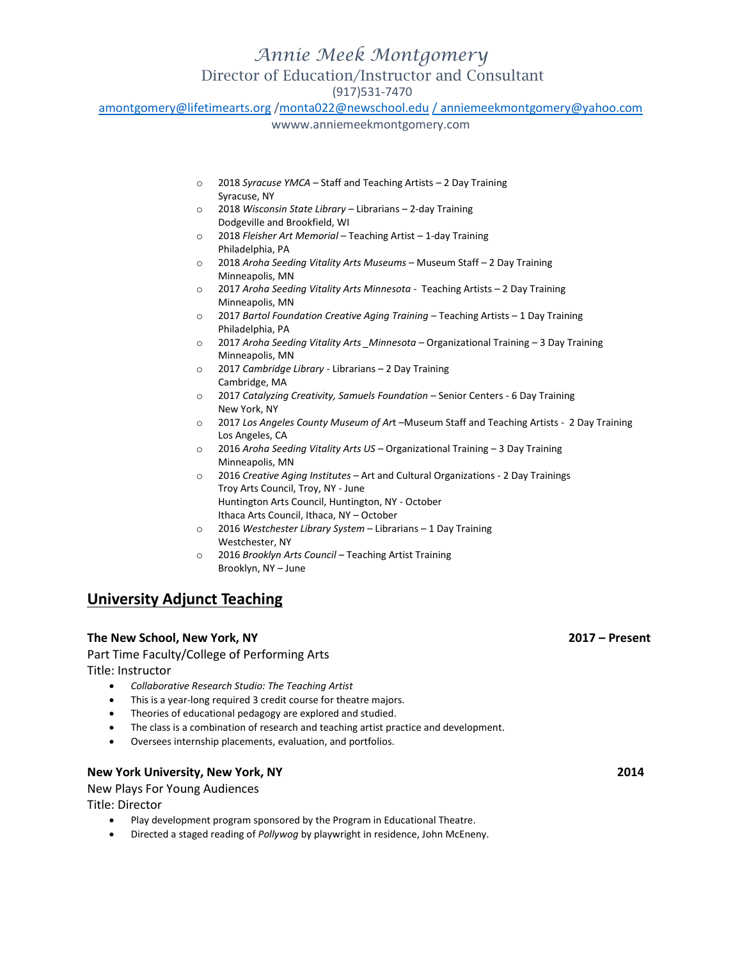(917)531-7470

[amontgomery@lifetimearts.org](mailto:amontgomery@lifetimearts.org) [/monta022@newschool.edu](mailto:monta022@newschool.edu) [/ anniemeekmontgomery@yahoo.com](mailto:/%20anniemeekmontgomery@yahoo.com)

wwww.anniemeekmontgomery.com

- o 2018 *Syracuse YMCA* Staff and Teaching Artists 2 Day Training Syracuse, NY
- o 2018 *Wisconsin State Library* Librarians 2-day Training Dodgeville and Brookfield, WI
- o 2018 *Fleisher Art Memorial* Teaching Artist 1-day Training Philadelphia, PA
- o 2018 *Aroha Seeding Vitality Arts Museums* Museum Staff *–* 2 Day Training Minneapolis, MN
- o 2017 *Aroha Seeding Vitality Arts Minnesota -* Teaching Artists *–* 2 Day Training Minneapolis, MN
- o 2017 *Bartol Foundation Creative Aging Training –* Teaching Artists 1 Day Training Philadelphia, PA
- o 2017 *Aroha Seeding Vitality Arts \_Minnesota –* Organizational Training 3 Day Training Minneapolis, MN
- o 2017 *Cambridge Library -* Librarians 2 Day Training Cambridge, MA
- o 2017 *Catalyzing Creativity, Samuels Foundation* Senior Centers 6 Day Training New York, NY
- o 2017 *Los Angeles County Museum of Ar*t –Museum Staff and Teaching Artists 2 Day Training Los Angeles, CA
- o 2016 *Aroha Seeding Vitality Arts US –* Organizational Training 3 Day Training Minneapolis, MN
- o 2016 *Creative Aging Institutes* Art and Cultural Organizations 2 Day Trainings Troy Arts Council, Troy, NY - June Huntington Arts Council, Huntington, NY - October Ithaca Arts Council, Ithaca, NY – October
- o 2016 *Westchester Library System –* Librarians 1 Day Training Westchester, NY
- o 2016 *Brooklyn Arts Council –* Teaching Artist Training Brooklyn, NY – June

## **University Adjunct Teaching**

## **The New School, New York, NY 2017 – Present**

Part Time Faculty/College of Performing Arts Title: Instructor

- *Collaborative Research Studio: The Teaching Artist*
- This is a year-long required 3 credit course for theatre majors.
- Theories of educational pedagogy are explored and studied.
- The class is a combination of research and teaching artist practice and development.
- Oversees internship placements, evaluation, and portfolios.

## **New York University, New York, NY 2014**

New Plays For Young Audiences

Title: Director

- Play development program sponsored by the Program in Educational Theatre.
- Directed a staged reading of *Pollywog* by playwright in residence, John McEneny.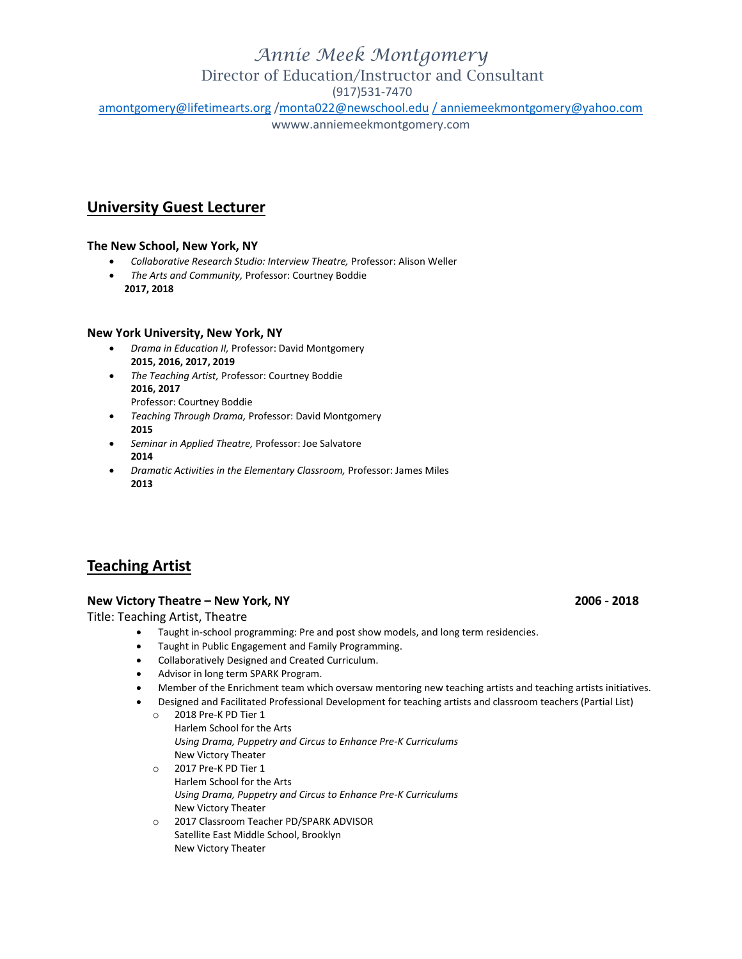## *Annie Meek Montgomery*

## Director of Education/Instructor and Consultant

(917)531-7470

[amontgomery@lifetimearts.org](mailto:amontgomery@lifetimearts.org)[/monta022@newschool.edu](mailto:monta022@newschool.edu)/anniemeekmontgomery@yahoo.com

wwww.anniemeekmontgomery.com

## **University Guest Lecturer**

## **The New School, New York, NY**

- *Collaborative Research Studio: Interview Theatre,* Professor: Alison Weller
- *The Arts and Community,* Professor: Courtney Boddie  **2017, 2018**

## **New York University, New York, NY**

- *Drama in Education II,* Professor: David Montgomery **2015, 2016, 2017, 2019**
- *The Teaching Artist,* Professor: Courtney Boddie **2016, 2017** Professor: Courtney Boddie
- *Teaching Through Drama,* Professor: David Montgomery **2015**
- *Seminar in Applied Theatre,* Professor: Joe Salvatore **2014**
- *Dramatic Activities in the Elementary Classroom,* Professor: James Miles **2013**

## **Teaching Artist**

## **New Victory Theatre – New York, NY 2006 - 2018**

Title: Teaching Artist, Theatre

- Taught in-school programming: Pre and post show models, and long term residencies.
- Taught in Public Engagement and Family Programming.
- Collaboratively Designed and Created Curriculum.
- Advisor in long term SPARK Program.
- Member of the Enrichment team which oversaw mentoring new teaching artists and teaching artists initiatives.
- Designed and Facilitated Professional Development for teaching artists and classroom teachers (Partial List)
	- o 2018 Pre-K PD Tier 1 Harlem School for the Arts *Using Drama, Puppetry and Circus to Enhance Pre-K Curriculums* New Victory Theater o 2017 Pre-K PD Tier 1 Harlem School for the Arts
		- *Using Drama, Puppetry and Circus to Enhance Pre-K Curriculums* New Victory Theater
	- o 2017 Classroom Teacher PD/SPARK ADVISOR Satellite East Middle School, Brooklyn New Victory Theater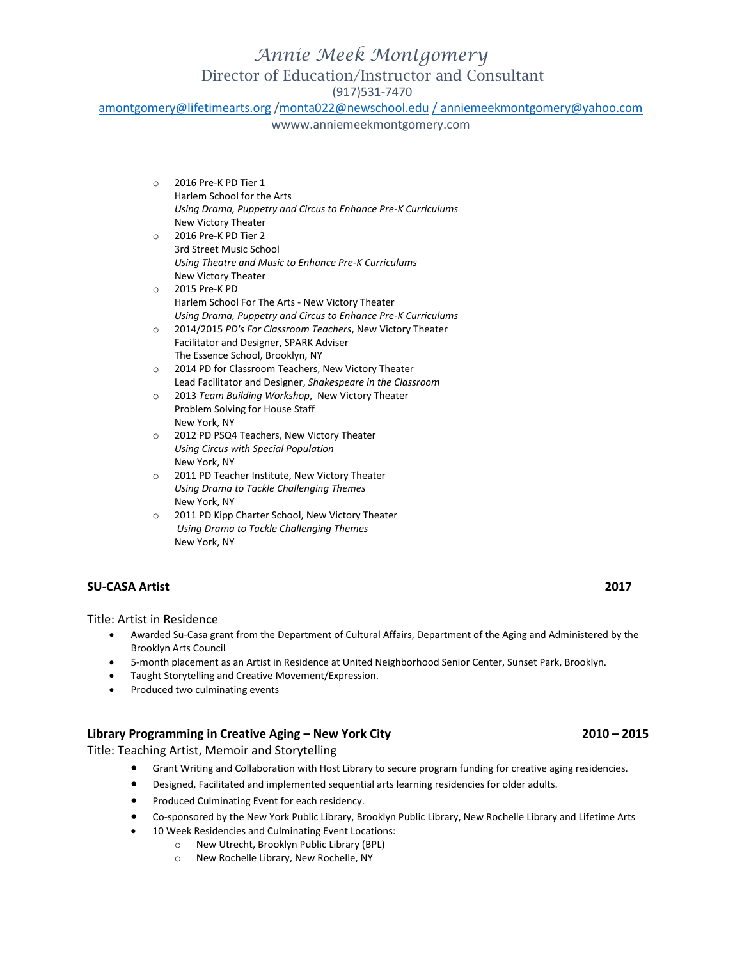(917)531-7470

[amontgomery@lifetimearts.org](mailto:amontgomery@lifetimearts.org) [/monta022@newschool.edu](mailto:monta022@newschool.edu) [/ anniemeekmontgomery@yahoo.com](mailto:/%20anniemeekmontgomery@yahoo.com)

wwww.anniemeekmontgomery.com

- o 2016 Pre-K PD Tier 1 Harlem School for the Arts *Using Drama, Puppetry and Circus to Enhance Pre-K Curriculums* New Victory Theater
- o 2016 Pre-K PD Tier 2 3rd Street Music School *Using Theatre and Music to Enhance Pre-K Curriculums* New Victory Theater
- o 2015 Pre-K PD Harlem School For The Arts - New Victory Theater *Using Drama, Puppetry and Circus to Enhance Pre-K Curriculums*
- o 2014/2015 *PD's For Classroom Teachers*, New Victory Theater Facilitator and Designer, SPARK Adviser The Essence School, Brooklyn, NY
- o 2014 PD for Classroom Teachers, New Victory Theater Lead Facilitator and Designer, *Shakespeare in the Classroom*
- o 2013 *Team Building Workshop*, New Victory Theater Problem Solving for House Staff New York, NY
- o 2012 PD PSQ4 Teachers, New Victory Theater *Using Circus with Special Population* New York, NY
- o 2011 PD Teacher Institute, New Victory Theater *Using Drama to Tackle Challenging Themes* New York, NY
- o 2011 PD Kipp Charter School, New Victory Theater *Using Drama to Tackle Challenging Themes* New York, NY

## **SU-CASA Artist 2017**

Title: Artist in Residence

- Awarded Su-Casa grant from the Department of Cultural Affairs, Department of the Aging and Administered by the Brooklyn Arts Council
- 5-month placement as an Artist in Residence at United Neighborhood Senior Center, Sunset Park, Brooklyn.
- Taught Storytelling and Creative Movement/Expression.
- Produced two culminating events

## **Library Programming in Creative Aging – New York City 2010 – 2015**

Title: Teaching Artist, Memoir and Storytelling

- Grant Writing and Collaboration with Host Library to secure program funding for creative aging residencies.
- Designed, Facilitated and implemented sequential arts learning residencies for older adults.
- **•** Produced Culminating Event for each residency.
- Co-sponsored by the New York Public Library, Brooklyn Public Library, New Rochelle Library and Lifetime Arts
	- 10 Week Residencies and Culminating Event Locations:
		- o New Utrecht, Brooklyn Public Library (BPL)
		- o New Rochelle Library, New Rochelle, NY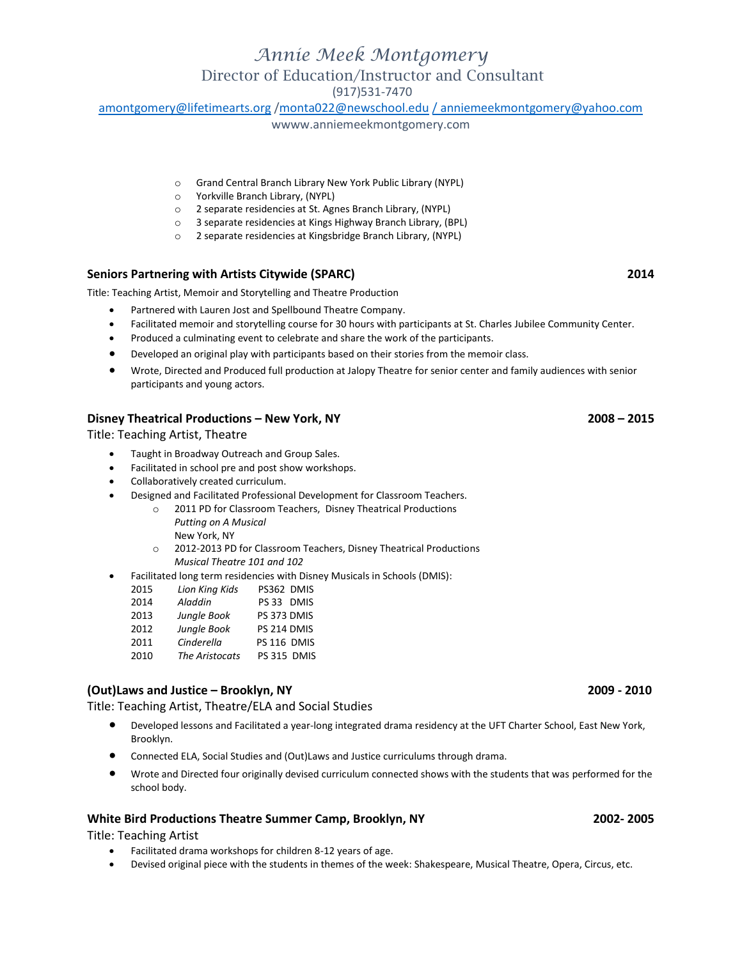(917)531-7470

[amontgomery@lifetimearts.org](mailto:amontgomery@lifetimearts.org) [/monta022@newschool.edu](mailto:monta022@newschool.edu) [/ anniemeekmontgomery@yahoo.com](mailto:/%20anniemeekmontgomery@yahoo.com)

wwww.anniemeekmontgomery.com

- o Grand Central Branch Library New York Public Library (NYPL)
- o Yorkville Branch Library, (NYPL)
- o 2 separate residencies at St. Agnes Branch Library, (NYPL)
- o 3 separate residencies at Kings Highway Branch Library, (BPL)
- o 2 separate residencies at Kingsbridge Branch Library, (NYPL)

### **Seniors Partnering with Artists Citywide (SPARC) 2014**

Title: Teaching Artist, Memoir and Storytelling and Theatre Production

- Partnered with Lauren Jost and Spellbound Theatre Company.
- Facilitated memoir and storytelling course for 30 hours with participants at St. Charles Jubilee Community Center.
- Produced a culminating event to celebrate and share the work of the participants.
- Developed an original play with participants based on their stories from the memoir class.
- Wrote, Directed and Produced full production at Jalopy Theatre for senior center and family audiences with senior participants and young actors.

### **Disney Theatrical Productions – New York, NY 2008 – 2015**

Title: Teaching Artist, Theatre

- Taught in Broadway Outreach and Group Sales.
- Facilitated in school pre and post show workshops.
- Collaboratively created curriculum.
- Designed and Facilitated Professional Development for Classroom Teachers.
	- o 2011 PD for Classroom Teachers, Disney Theatrical Productions
		- *Putting on A Musical*
		- New York, NY
		- o 2012-2013 PD for Classroom Teachers, Disney Theatrical Productions *Musical Theatre 101 and 102*
- Facilitated long term residencies with Disney Musicals in Schools (DMIS):

| 2015 | Lion King Kids | PS362 DMIS  |
|------|----------------|-------------|
| 2014 | Aladdin        | PS 33 DMIS  |
| 2013 | Jungle Book    | PS 373 DMIS |
| 2012 | Jungle Book    | PS 214 DMIS |
| 2011 | Cinderella     | PS 116 DMIS |
| 2010 | The Aristocats | PS 315 DMIS |

## **(Out)Laws and Justice – Brooklyn, NY 2009 - 2010**

Title: Teaching Artist, Theatre/ELA and Social Studies

- Developed lessons and Facilitated a year-long integrated drama residency at the UFT Charter School, East New York, Brooklyn.
- Connected ELA, Social Studies and (Out)Laws and Justice curriculums through drama.
- Wrote and Directed four originally devised curriculum connected shows with the students that was performed for the school body.

### **[White Bird Productions](http://whitebirdproductions.org/index.html) Theatre Summer Camp, Brooklyn, NY 2002- 2005**

Title: Teaching Artist

- Facilitated drama workshops for children 8-12 years of age.
- Devised original piece with the students in themes of the week: Shakespeare, Musical Theatre, Opera, Circus, etc.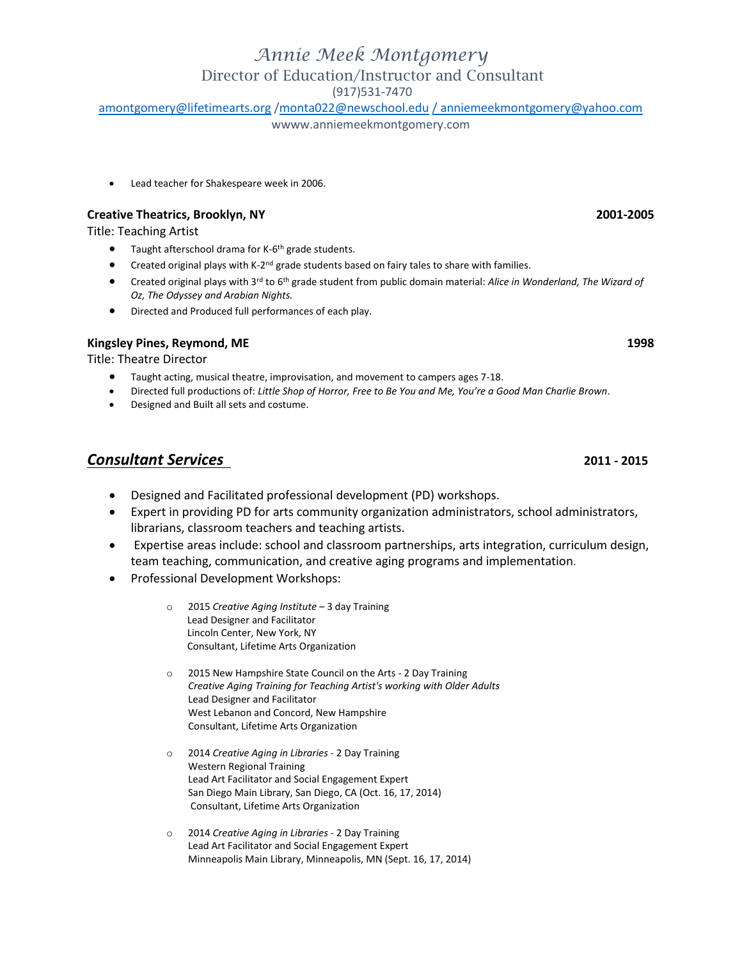# *Annie Meek Montgomery*

Director of Education/Instructor and Consultant

(917)531-7470

[amontgomery@lifetimearts.org](mailto:amontgomery@lifetimearts.org) [/monta022@newschool.edu](mailto:monta022@newschool.edu) [/ anniemeekmontgomery@yahoo.com](mailto:/%20anniemeekmontgomery@yahoo.com)

wwww.anniemeekmontgomery.com

Lead teacher for Shakespeare week in 2006.

## **Creative Theatrics, Brooklyn, NY 2001-2005**

Title: Teaching Artist

- Taught afterschool drama for K-6<sup>th</sup> grade students.
- Created original plays with K-2<sup>nd</sup> grade students based on fairy tales to share with families.
- Created original plays with 3rd to 6th grade student from public domain material: *Alice in Wonderland, The Wizard of Oz, The Odyssey and Arabian Nights.*
- Directed and Produced full performances of each play.

## **Kingsley Pines, Reymond, ME** 1998

Title: Theatre Director

- Taught acting, musical theatre, improvisation, and movement to campers ages 7-18.
- Directed full productions of: *Little Shop of Horror, Free to Be You and Me, You're a Good Man Charlie Brown*.
- Designed and Built all sets and costume.

## *Consultant Services* **2011 - 2015**

- Designed and Facilitated professional development (PD) workshops.
- Expert in providing PD for arts community organization administrators, school administrators, librarians, classroom teachers and teaching artists.
- Expertise areas include: school and classroom partnerships, arts integration, curriculum design, team teaching, communication, and creative aging programs and implementation.
- Professional Development Workshops:
	- o 2015 *Creative Aging Institute* 3 day Training Lead Designer and Facilitator Lincoln Center, New York, NY Consultant, Lifetime Arts Organization
	- o 2015 New Hampshire State Council on the Arts 2 Day Training *Creative Aging Training for Teaching Artist's working with Older Adults* Lead Designer and Facilitator West Lebanon and Concord, New Hampshire Consultant, Lifetime Arts Organization
	- o 2014 *Creative Aging in Libraries* 2 Day Training Western Regional Training Lead Art Facilitator and Social Engagement Expert San Diego Main Library, San Diego, CA (Oct. 16, 17, 2014) Consultant, Lifetime Arts Organization
	- o 2014 *Creative Aging in Libraries* 2 Day Training Lead Art Facilitator and Social Engagement Expert Minneapolis Main Library, Minneapolis, MN (Sept. 16, 17, 2014)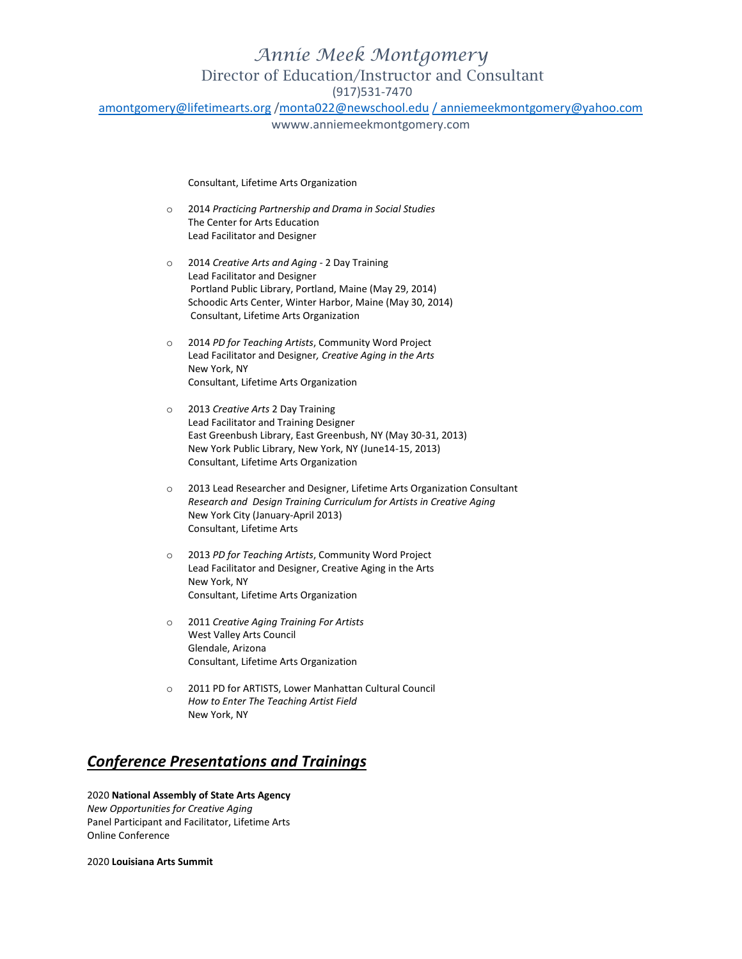(917)531-7470

[amontgomery@lifetimearts.org](mailto:amontgomery@lifetimearts.org)[/monta022@newschool.edu](mailto:monta022@newschool.edu)/anniemeekmontgomery@yahoo.com

wwww.anniemeekmontgomery.com

Consultant, Lifetime Arts Organization

- o 2014 *Practicing Partnership and Drama in Social Studies* The Center for Arts Education Lead Facilitator and Designer
- o 2014 *Creative Arts and Aging* 2 Day Training Lead Facilitator and Designer Portland Public Library, Portland, Maine (May 29, 2014) Schoodic Arts Center, Winter Harbor, Maine (May 30, 2014) Consultant, Lifetime Arts Organization
- o 2014 *PD for Teaching Artists*, Community Word Project Lead Facilitator and Designer*, Creative Aging in the Arts* New York, NY Consultant, Lifetime Arts Organization
- o 2013 *Creative Arts* 2 Day Training Lead Facilitator and Training Designer East Greenbush Library, East Greenbush, NY (May 30-31, 2013) New York Public Library, New York, NY (June14-15, 2013) Consultant, Lifetime Arts Organization
- o 2013 Lead Researcher and Designer, Lifetime Arts Organization Consultant *Research and Design Training Curriculum for Artists in Creative Aging* New York City (January-April 2013) Consultant, Lifetime Arts
- o 2013 *PD for Teaching Artists*, Community Word Project Lead Facilitator and Designer, Creative Aging in the Arts New York, NY Consultant, Lifetime Arts Organization
- o 2011 *Creative Aging Training For Artists* West Valley Arts Council Glendale, Arizona Consultant, Lifetime Arts Organization
- o 2011 PD for ARTISTS, Lower Manhattan Cultural Council *How to Enter The Teaching Artist Field* New York, NY

## *Conference Presentations and Trainings*

## 2020 **National Assembly of State Arts Agency**

*New Opportunities for Creative Aging* Panel Participant and Facilitator, Lifetime Arts Online Conference

2020 **Louisiana Arts Summit**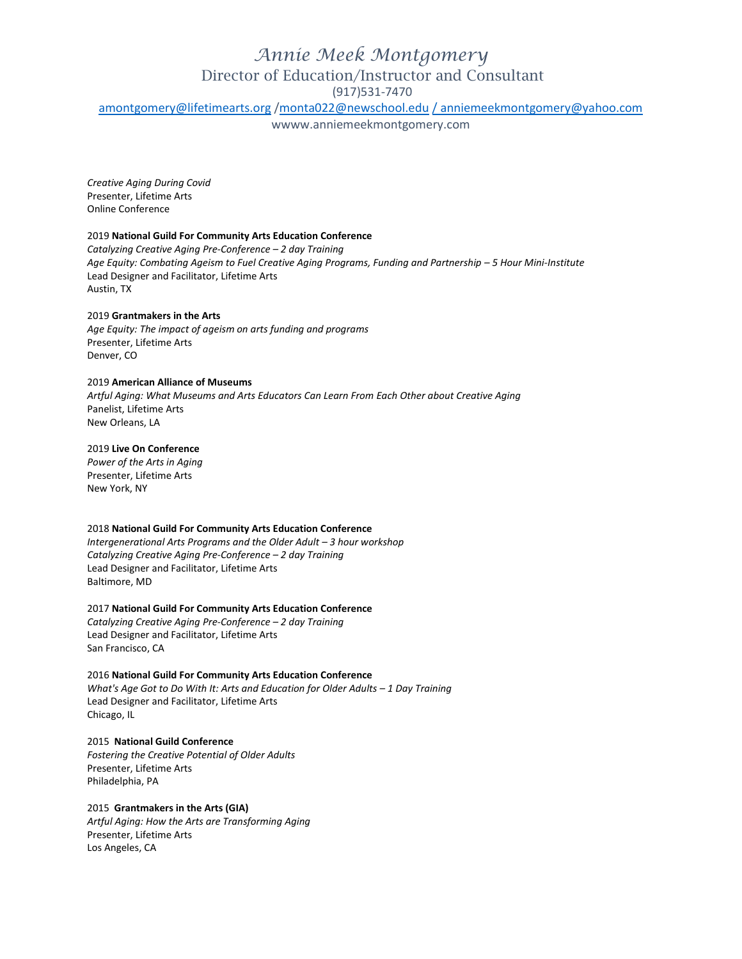(917)531-7470

[amontgomery@lifetimearts.org](mailto:amontgomery@lifetimearts.org) [/monta022@newschool.edu](mailto:monta022@newschool.edu) [/ anniemeekmontgomery@yahoo.com](mailto:/%20anniemeekmontgomery@yahoo.com)

wwww.anniemeekmontgomery.com

*Creative Aging During Covid* Presenter, Lifetime Arts Online Conference

### 2019 **National Guild For Community Arts Education Conference**

*Catalyzing Creative Aging Pre-Conference – 2 day Training Age Equity: Combating Ageism to Fuel Creative Aging Programs, Funding and Partnership – 5 Hour Mini-Institute* Lead Designer and Facilitator, Lifetime Arts Austin, TX

### 2019 **Grantmakers in the Arts**

*Age Equity: The impact of ageism on arts funding and programs* Presenter, Lifetime Arts Denver, CO

### 2019 **American Alliance of Museums**

*Artful Aging: What Museums and Arts Educators Can Learn From Each Other about Creative Aging* Panelist, Lifetime Arts New Orleans, LA

## 2019 **Live On Conference**

*Power of the Arts in Aging* Presenter, Lifetime Arts New York, NY

### 2018 **National Guild For Community Arts Education Conference**

*Intergenerational Arts Programs and the Older Adult – 3 hour workshop Catalyzing Creative Aging Pre-Conference – 2 day Training* Lead Designer and Facilitator, Lifetime Arts Baltimore, MD

### 2017 **National Guild For Community Arts Education Conference**

*Catalyzing Creative Aging Pre-Conference – 2 day Training* Lead Designer and Facilitator, Lifetime Arts San Francisco, CA

### 2016 **National Guild For Community Arts Education Conference**

*What's Age Got to Do With It: Arts and Education for Older Adults – 1 Day Training* Lead Designer and Facilitator, Lifetime Arts Chicago, IL

### 2015 **National Guild Conference**

*Fostering the Creative Potential of Older Adults* Presenter, Lifetime Arts Philadelphia, PA

### 2015 **Grantmakers in the Arts (GIA)** *Artful Aging: How the Arts are Transforming Aging*

Presenter, Lifetime Arts Los Angeles, CA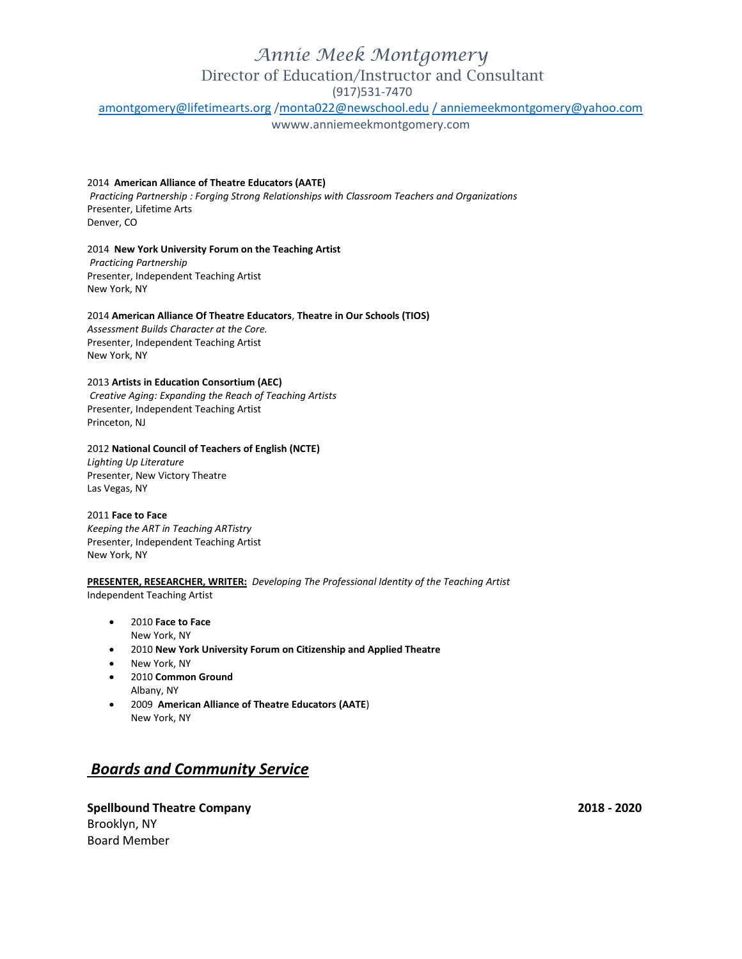(917)531-7470

[amontgomery@lifetimearts.org](mailto:amontgomery@lifetimearts.org)[/monta022@newschool.edu](mailto:monta022@newschool.edu)/anniemeekmontgomery@yahoo.com

wwww.anniemeekmontgomery.com

### 2014 **American Alliance of Theatre Educators (AATE)**

*Practicing Partnership : Forging Strong Relationships with Classroom Teachers and Organizations* Presenter, Lifetime Arts Denver, CO

### 2014 **New York University Forum on the Teaching Artist**

*Practicing Partnership* Presenter, Independent Teaching Artist New York, NY

### 2014 **American Alliance Of Theatre Educators**, **Theatre in Our Schools (TIOS)**

*Assessment Builds Character at the Core.* Presenter, Independent Teaching Artist New York, NY

### 2013 **Artists in Education Consortium (AEC)**

*Creative Aging: Expanding the Reach of Teaching Artists* Presenter, Independent Teaching Artist Princeton, NJ

### 2012 **National Council of Teachers of English (NCTE)**

*Lighting Up Literature* Presenter, New Victory Theatre Las Vegas, NY

### 2011 **Face to Face**

*Keeping the ART in Teaching ARTistry* Presenter, Independent Teaching Artist New York, NY

### **PRESENTER, RESEARCHER, WRITER:** *Developing The Professional Identity of the Teaching Artist* Independent Teaching Artist

- 2010 **Face to Face** New York, NY
- 2010 **New York University Forum on Citizenship and Applied Theatre**
- New York, NY
- 2010 **Common Ground** Albany, NY
- 2009 **American Alliance of Theatre Educators (AATE**) New York, NY

## *Boards and Community Service*

**Spellbound Theatre Company 2018 - 2020** Brooklyn, NY Board Member